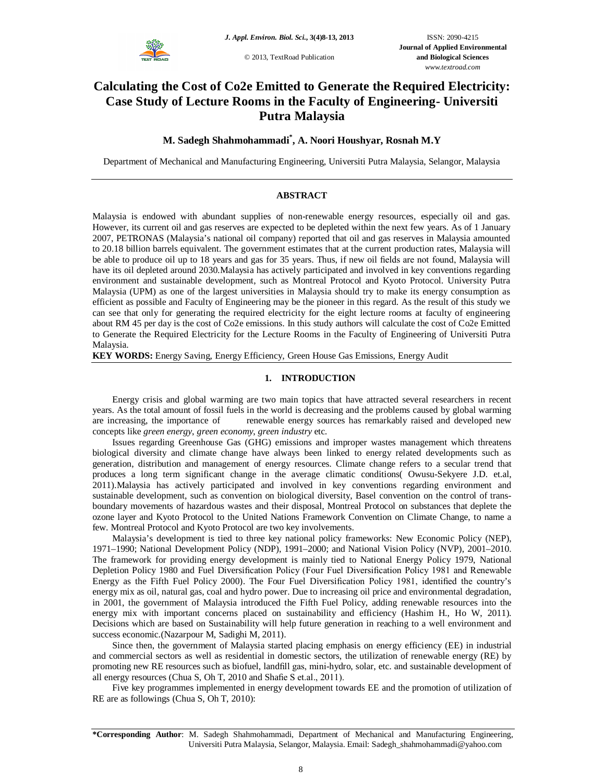

© 2013, TextRoad Publication

# **Calculating the Cost of Co2e Emitted to Generate the Required Electricity: Case Study of Lecture Rooms in the Faculty of Engineering- Universiti Putra Malaysia**

# **M. Sadegh Shahmohammadi\* , A. Noori Houshyar, Rosnah M.Y**

Department of Mechanical and Manufacturing Engineering, Universiti Putra Malaysia, Selangor, Malaysia

## **ABSTRACT**

Malaysia is endowed with abundant supplies of non-renewable energy resources, especially oil and gas. However, its current oil and gas reserves are expected to be depleted within the next few years. As of 1 January 2007, PETRONAS (Malaysia's national oil company) reported that oil and gas reserves in Malaysia amounted to 20.18 billion barrels equivalent. The government estimates that at the current production rates, Malaysia will be able to produce oil up to 18 years and gas for 35 years. Thus, if new oil fields are not found, Malaysia will have its oil depleted around 2030.Malaysia has actively participated and involved in key conventions regarding environment and sustainable development, such as Montreal Protocol and Kyoto Protocol. University Putra Malaysia (UPM) as one of the largest universities in Malaysia should try to make its energy consumption as efficient as possible and Faculty of Engineering may be the pioneer in this regard. As the result of this study we can see that only for generating the required electricity for the eight lecture rooms at faculty of engineering about RM 45 per day is the cost of Co2e emissions. In this study authors will calculate the cost of Co2e Emitted to Generate the Required Electricity for the Lecture Rooms in the Faculty of Engineering of Universiti Putra Malaysia.

**KEY WORDS:** Energy Saving, Energy Efficiency, Green House Gas Emissions, Energy Audit

# **1. INTRODUCTION**

Energy crisis and global warming are two main topics that have attracted several researchers in recent years. As the total amount of fossil fuels in the world is decreasing and the problems caused by global warming are increasing, the importance of renewable energy sources has remarkably raised and developed new concepts like *green energy*, *green economy*, *green industry* etc.

Issues regarding Greenhouse Gas (GHG) emissions and improper wastes management which threatens biological diversity and climate change have always been linked to energy related developments such as generation, distribution and management of energy resources. Climate change refers to a secular trend that produces a long term significant change in the average climatic conditions( Owusu-Sekyere J.D. et.al, 2011).Malaysia has actively participated and involved in key conventions regarding environment and sustainable development, such as convention on biological diversity, Basel convention on the control of transboundary movements of hazardous wastes and their disposal, Montreal Protocol on substances that deplete the ozone layer and Kyoto Protocol to the United Nations Framework Convention on Climate Change, to name a few. Montreal Protocol and Kyoto Protocol are two key involvements.

Malaysia's development is tied to three key national policy frameworks: New Economic Policy (NEP), 1971–1990; National Development Policy (NDP), 1991–2000; and National Vision Policy (NVP), 2001–2010. The framework for providing energy development is mainly tied to National Energy Policy 1979, National Depletion Policy 1980 and Fuel Diversification Policy (Four Fuel Diversification Policy 1981 and Renewable Energy as the Fifth Fuel Policy 2000). The Four Fuel Diversification Policy 1981, identified the country's energy mix as oil, natural gas, coal and hydro power. Due to increasing oil price and environmental degradation, in 2001, the government of Malaysia introduced the Fifth Fuel Policy, adding renewable resources into the energy mix with important concerns placed on sustainability and efficiency (Hashim H., Ho W, 2011). Decisions which are based on Sustainability will help future generation in reaching to a well environment and success economic.(Nazarpour M, Sadighi M, 2011).

Since then, the government of Malaysia started placing emphasis on energy efficiency (EE) in industrial and commercial sectors as well as residential in domestic sectors, the utilization of renewable energy (RE) by promoting new RE resources such as biofuel, landfill gas, mini-hydro, solar, etc. and sustainable development of all energy resources (Chua S, Oh T, 2010 and Shafie S et.al., 2011).

Five key programmes implemented in energy development towards EE and the promotion of utilization of RE are as followings (Chua S, Oh T, 2010):

**<sup>\*</sup>Corresponding Author**: M. Sadegh Shahmohammadi, Department of Mechanical and Manufacturing Engineering, Universiti Putra Malaysia, Selangor, Malaysia. Email: Sadegh\_shahmohammadi@yahoo.com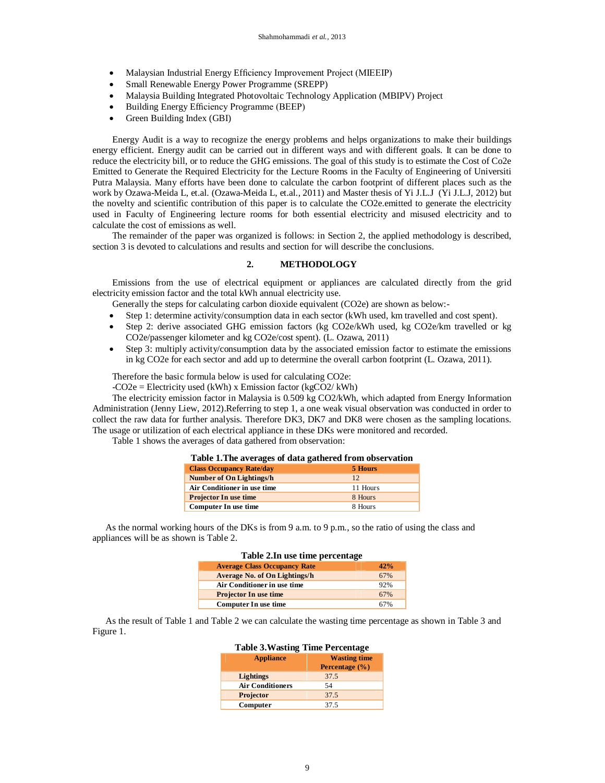- Malaysian Industrial Energy Efficiency Improvement Project (MIEEIP)
- Small Renewable Energy Power Programme (SREPP)
- Malaysia Building Integrated Photovoltaic Technology Application (MBIPV) Project
- Building Energy Efficiency Programme (BEEP)
- Green Building Index (GBI)

Energy Audit is a way to recognize the energy problems and helps organizations to make their buildings energy efficient. Energy audit can be carried out in different ways and with different goals. It can be done to reduce the electricity bill, or to reduce the GHG emissions. The goal of this study is to estimate the Cost of Co2e Emitted to Generate the Required Electricity for the Lecture Rooms in the Faculty of Engineering of Universiti Putra Malaysia. Many efforts have been done to calculate the carbon footprint of different places such as the work by Ozawa-Meida L, et.al. (Ozawa-Meida L, et.al., 2011) and Master thesis of Yi J.L.J (Yi J.L.J, 2012) but the novelty and scientific contribution of this paper is to calculate the CO2e.emitted to generate the electricity used in Faculty of Engineering lecture rooms for both essential electricity and misused electricity and to calculate the cost of emissions as well.

The remainder of the paper was organized is follows: in Section 2, the applied methodology is described, section 3 is devoted to calculations and results and section for will describe the conclusions.

# **2. METHODOLOGY**

Emissions from the use of electrical equipment or appliances are calculated directly from the grid electricity emission factor and the total kWh annual electricity use.

- Generally the steps for calculating carbon dioxide equivalent (CO2e) are shown as below:-
- Step 1: determine activity/consumption data in each sector (kWh used, km travelled and cost spent).
- Step 2: derive associated GHG emission factors (kg CO2e/kWh used, kg CO2e/km travelled or kg CO2e/passenger kilometer and kg CO2e/cost spent). (L. Ozawa, 2011)
- Step 3: multiply activity/consumption data by the associated emission factor to estimate the emissions in kg CO2e for each sector and add up to determine the overall carbon footprint (L. Ozawa, 2011).

Therefore the basic formula below is used for calculating CO2e:

-CO2e = Electricity used (kWh) x Emission factor (kgCO2/ kWh)

The electricity emission factor in Malaysia is 0.509 kg CO2/kWh, which adapted from Energy Information Administration (Jenny Liew, 2012).Referring to step 1, a one weak visual observation was conducted in order to collect the raw data for further analysis. Therefore DK3, DK7 and DK8 were chosen as the sampling locations. The usage or utilization of each electrical appliance in these DKs were monitored and recorded.

Table 1 shows the averages of data gathered from observation:

| Table 1. The averages of data gathered from observation |          |  |  |
|---------------------------------------------------------|----------|--|--|
| <b>Class Occupancy Rate/day</b>                         | 5 Hours  |  |  |
| <b>Number of On Lightings/h</b>                         | 12       |  |  |
| Air Conditioner in use time                             | 11 Hours |  |  |
| <b>Projector In use time</b>                            | 8 Hours  |  |  |
| Computer In use time                                    | 8 Hours  |  |  |
|                                                         |          |  |  |

As the normal working hours of the DKs is from 9 a.m. to 9 p.m., so the ratio of using the class and appliances will be as shown is Table 2.

| Table 2. In use time percentage      |     |
|--------------------------------------|-----|
| <b>Average Class Occupancy Rate</b>  | 42% |
| <b>Average No. of On Lightings/h</b> | 67% |
| Air Conditioner in use time          | 92% |
| <b>Projector In use time</b>         | 67% |
| Computer In use time                 | 67% |

As the result of Table 1 and Table 2 we can calculate the wasting time percentage as shown in Table 3 and Figure 1.

| Table 5. Wasting Time Percentage |                                           |  |  |
|----------------------------------|-------------------------------------------|--|--|
| <b>Appliance</b>                 | <b>Wasting time</b><br>Percentage $(\% )$ |  |  |
| <b>Lightings</b>                 | 37.5                                      |  |  |
| <b>Air Conditioners</b>          | 54                                        |  |  |
| Projector                        | 37.5                                      |  |  |
| Computer                         | 37.5                                      |  |  |

# **Table 3.Wasting Time Percentage**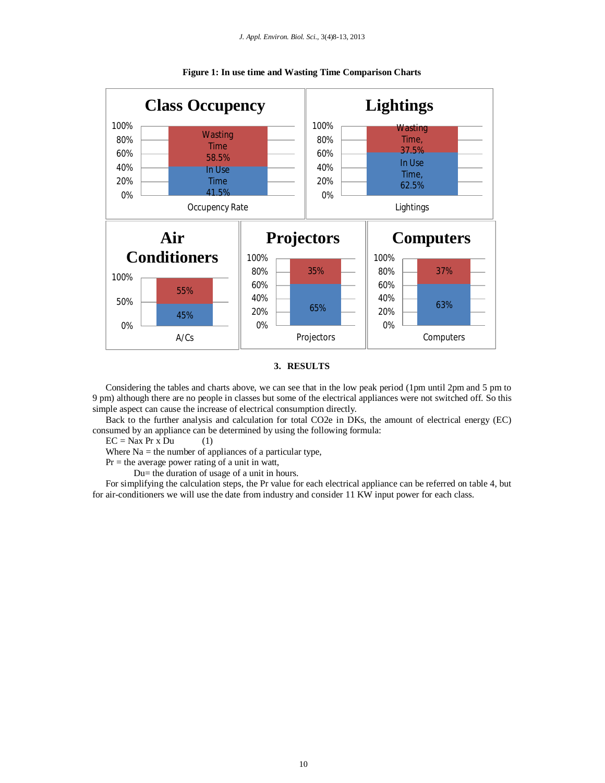



#### **3. RESULTS**

Considering the tables and charts above, we can see that in the low peak period (1pm until 2pm and 5 pm to 9 pm) although there are no people in classes but some of the electrical appliances were not switched off. So this simple aspect can cause the increase of electrical consumption directly.

Back to the further analysis and calculation for total CO2e in DKs, the amount of electrical energy (EC) consumed by an appliance can be determined by using the following formula:

 $EC = \text{Nax} \, \text{Pr} \, \text{x} \, \text{Du}$  (1)

Where  $Na =$  the number of appliances of a particular type,

 $Pr =$  the average power rating of a unit in watt,

Du= the duration of usage of a unit in hours.

For simplifying the calculation steps, the Pr value for each electrical appliance can be referred on table 4, but for air-conditioners we will use the date from industry and consider 11 KW input power for each class.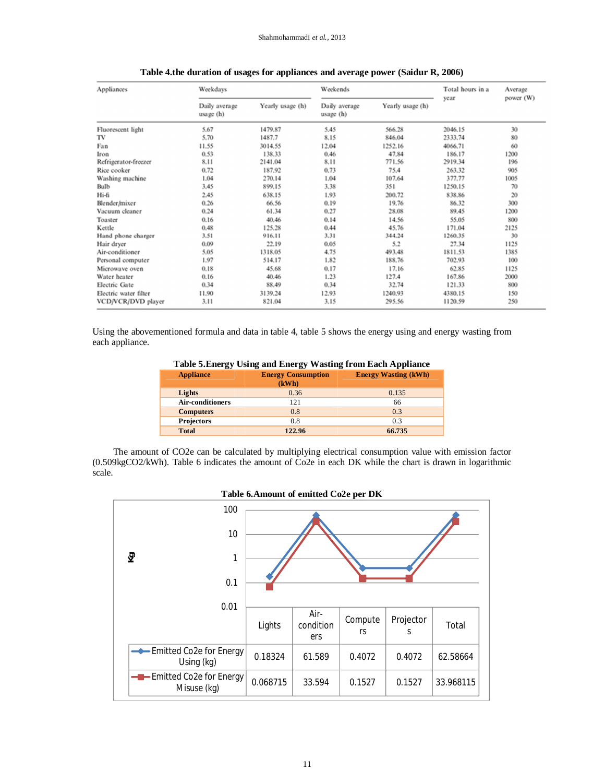| Appliances            | Weekdays                  |                  | Weekends                   |                  | Total hours in a | Average   |
|-----------------------|---------------------------|------------------|----------------------------|------------------|------------------|-----------|
|                       | Daily average<br>usage(h) | Yearly usage (h) | Daily average<br>usage (h) | Yearly usage (h) | year             | power (W) |
| Fluorescent light     | 5.67                      | 1479.87          | 5.45                       | 566.28           | 2046.15          | 30        |
| TV                    | 5.70                      | 1487.7           | 8.15                       | 846.04           | 2333.74          | 80        |
| Fan                   | 11.55                     | 3014.55          | 12.04                      | 1252.16          | 4066,71          | 60        |
| Iron                  | 0.53                      | 138.33           | 0.46                       | 47.84            | 186.17           | 1200      |
| Refrigerator-freezer  | 8.11                      | 2141.04          | 8.11                       | 771.56           | 2919.34          | 196       |
| Rice cooker           | 0.72                      | 187.92           | 0.73                       | 75.4             | 263.32           | 905       |
| Washing machine       | 1.04                      | 270.14           | 1.04                       | 107.64           | 377.77           | 1005      |
| <b>Bulb</b>           | 3.45                      | 899.15           | 3.38                       | 351              | 1250.15          | 70        |
| Hi-fi                 | 2.45                      | 638.15           | 1.93                       | 200.72           | 838.86           | 20        |
| Blender/mixer         | 0.26                      | 66.56            | 0.19                       | 19.76            | 86.32            | 300       |
| Vacuum cleaner        | 0.24                      | 61.34            | 0.27                       | 28.08            | 89.45            | 1200      |
| Toaster               | 0.16                      | 40.46            | 0.14                       | 14.56            | 55.05            | 800       |
| Kettle                | 0.48                      | 125.28           | 0.44                       | 45.76            | 171.04           | 2125      |
| Hand phone charger    | 3.51                      | 916.11           | 3.31                       | 344.24           | 1260.35          | 30        |
| Hair dryer            | 0.09                      | 22.19            | 0.05                       | 5.2              | 27.34            | 1125      |
| Air-conditioner       | 5.05                      | 1318.05          | 4.75                       | 493.48           | 1811.53          | 1385      |
| Personal computer     | 1.97                      | 514.17           | 1.82                       | 188.76           | 702.93           | 100       |
| Microwaye oven        | 0.18                      | 45.68            | 0.17                       | 17.16            | 62.85            | 1125      |
| Water heater          | 0.16                      | 40.46            | 1.23                       | 127.4            | 167.86           | 2000      |
| Electric Gate         | 0.34                      | 88.49            | 0.34                       | 32.74            | 121.33           | 800       |
| Electric water filter | 11.90                     | 3139.24          | 12.93                      | 1240.93          | 4380.15          | 150       |
| VCD/VCR/DVD player    | 3.11                      | 821.04           | 3.15                       | 295.56           | 1120.59          | 250       |

**Table 4.the duration of usages for appliances and average power (Saidur R, 2006)**

Using the abovementioned formula and data in table 4, table 5 shows the energy using and energy wasting from each appliance.

| <b>Appliance</b>        | <b>Energy Consumption</b><br>(kWh) | <b>Energy Wasting (kWh)</b> |
|-------------------------|------------------------------------|-----------------------------|
| Lights                  | 0.36                               | 0.135                       |
| <b>Air-conditioners</b> | 121                                | 66                          |
| <b>Computers</b>        | 0.8                                | 0.3                         |
| <b>Projectors</b>       | 0.8                                | 0.3                         |
| <b>Total</b>            | 122.96                             | 66.735                      |

# **Table 5.Energy Using and Energy Wasting from Each Appliance**

The amount of CO2e can be calculated by multiplying electrical consumption value with emission factor (0.509kgCO2/kWh). Table 6 indicates the amount of Co2e in each DK while the chart is drawn in logarithmic scale.

## **Table 6.Amount of emitted Co2e per DK**

|    | 100                                     |          |                          |               |                |           |
|----|-----------------------------------------|----------|--------------------------|---------------|----------------|-----------|
|    | 10                                      |          |                          |               |                |           |
| δã | 1                                       |          |                          |               |                |           |
|    | 0.1                                     |          |                          |               |                |           |
|    | 0.01                                    |          |                          |               |                |           |
|    |                                         | Lights   | Air-<br>condition<br>ers | Compute<br>rs | Projector<br>S | Total     |
|    | - Emitted Co2e for Energy<br>Using (kg) | 0.18324  | 61.589                   | 0.4072        | 0.4072         | 62.58664  |
|    | -Emitted Co2e for Energy<br>Misuse (kg) | 0.068715 | 33.594                   | 0.1527        | 0.1527         | 33.968115 |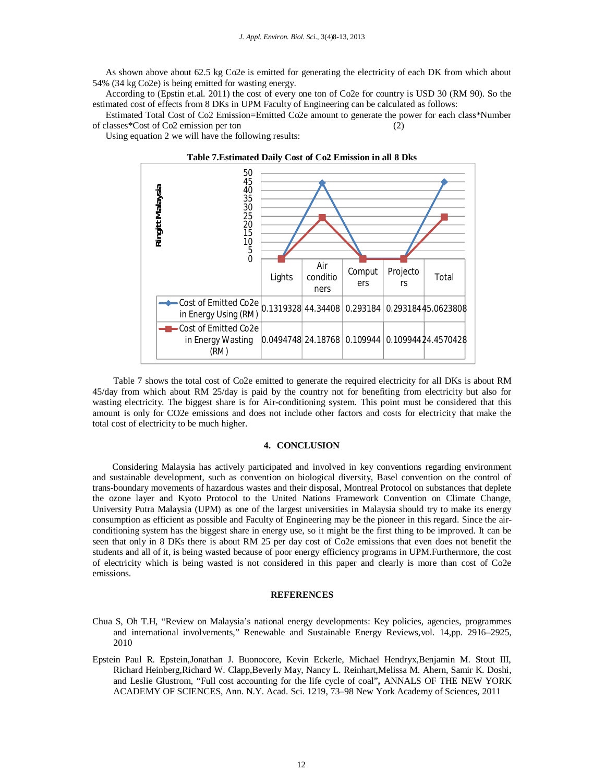As shown above about 62.5 kg Co2e is emitted for generating the electricity of each DK from which about 54% (34 kg Co2e) is being emitted for wasting energy.

According to (Epstin et.al. 2011) the cost of every one ton of Co2e for country is USD 30 (RM 90). So the estimated cost of effects from 8 DKs in UPM Faculty of Engineering can be calculated as follows:

Estimated Total Cost of Co2 Emission=Emitted Co2e amount to generate the power for each class\*Number of classes\*Cost of Co2 emission per ton (2)

Using equation 2 we will have the following results:





Table 7 shows the total cost of Co2e emitted to generate the required electricity for all DKs is about RM 45/day from which about RM 25/day is paid by the country not for benefiting from electricity but also for wasting electricity. The biggest share is for Air-conditioning system. This point must be considered that this amount is only for CO2e emissions and does not include other factors and costs for electricity that make the total cost of electricity to be much higher.

#### **4. CONCLUSION**

Considering Malaysia has actively participated and involved in key conventions regarding environment and sustainable development, such as convention on biological diversity, Basel convention on the control of trans-boundary movements of hazardous wastes and their disposal, Montreal Protocol on substances that deplete the ozone layer and Kyoto Protocol to the United Nations Framework Convention on Climate Change, University Putra Malaysia (UPM) as one of the largest universities in Malaysia should try to make its energy consumption as efficient as possible and Faculty of Engineering may be the pioneer in this regard. Since the airconditioning system has the biggest share in energy use, so it might be the first thing to be improved. It can be seen that only in 8 DKs there is about RM 25 per day cost of Co2e emissions that even does not benefit the students and all of it, is being wasted because of poor energy efficiency programs in UPM.Furthermore, the cost of electricity which is being wasted is not considered in this paper and clearly is more than cost of Co2e emissions.

#### **REFERENCES**

- Chua S, Oh T.H, "Review on Malaysia's national energy developments: Key policies, agencies, programmes and international involvements," Renewable and Sustainable Energy Reviews,vol. 14,pp. 2916–2925, 2010
- Epstein Paul R. Epstein,Jonathan J. Buonocore, Kevin Eckerle, Michael Hendryx,Benjamin M. Stout III, Richard Heinberg,Richard W. Clapp,Beverly May, Nancy L. Reinhart,Melissa M. Ahern, Samir K. Doshi, and Leslie Glustrom, "Full cost accounting for the life cycle of coal"**,** ANNALS OF THE NEW YORK ACADEMY OF SCIENCES, Ann. N.Y. Acad. Sci. 1219, 73–98 New York Academy of Sciences, 2011